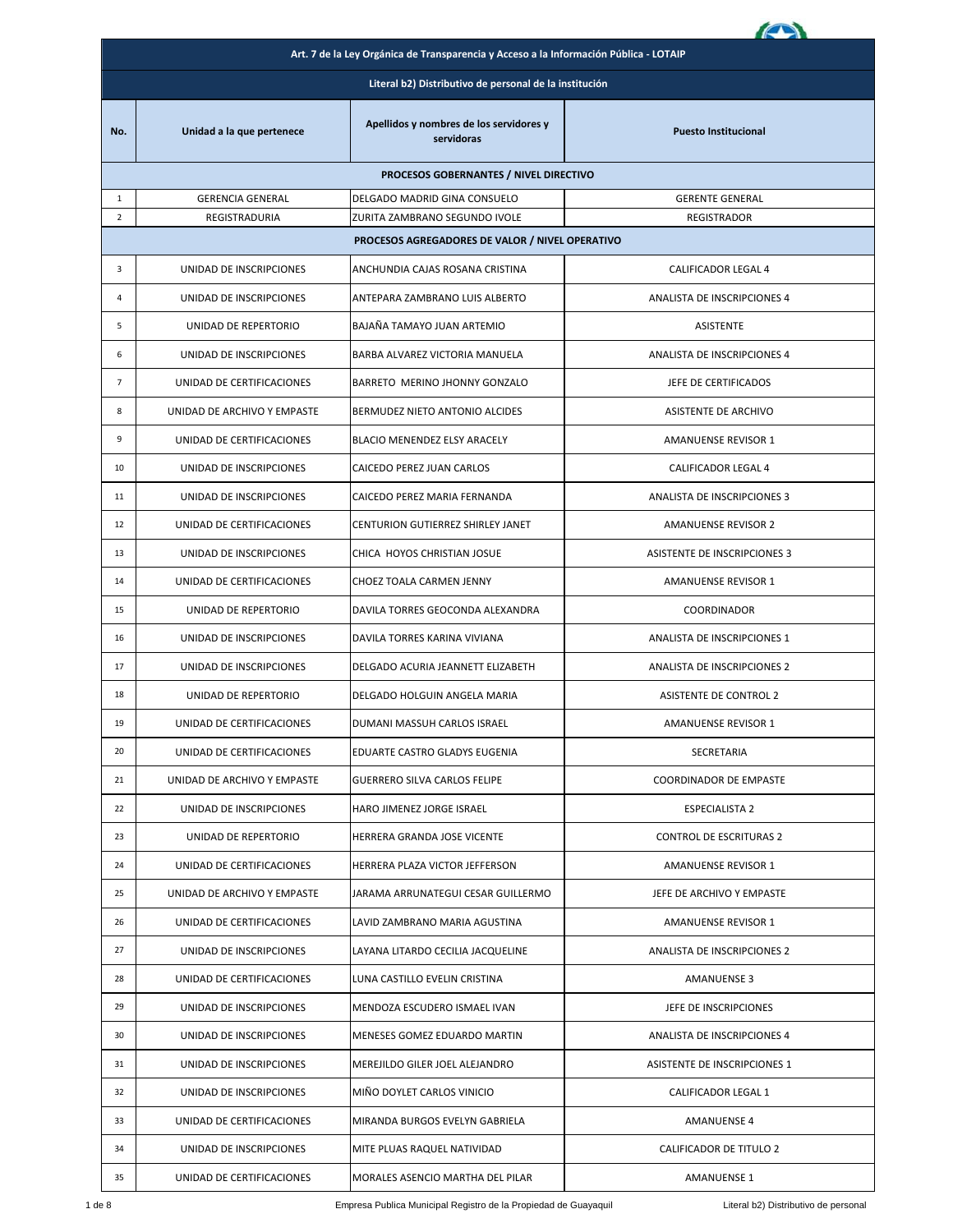| Art. 7 de la Ley Orgánica de Transparencia y Acceso a la Información Pública - LOTAIP |                             |                                                       |                                     |
|---------------------------------------------------------------------------------------|-----------------------------|-------------------------------------------------------|-------------------------------------|
| Literal b2) Distributivo de personal de la institución                                |                             |                                                       |                                     |
| No.                                                                                   | Unidad a la que pertenece   | Apellidos y nombres de los servidores y<br>servidoras | <b>Puesto Institucional</b>         |
|                                                                                       |                             | PROCESOS GOBERNANTES / NIVEL DIRECTIVO                |                                     |
| 1                                                                                     | <b>GERENCIA GENERAL</b>     | DELGADO MADRID GINA CONSUELO                          | <b>GERENTE GENERAL</b>              |
| $\overline{2}$                                                                        | REGISTRADURIA               | ZURITA ZAMBRANO SEGUNDO IVOLE                         | <b>REGISTRADOR</b>                  |
|                                                                                       |                             | PROCESOS AGREGADORES DE VALOR / NIVEL OPERATIVO       |                                     |
| 3                                                                                     | UNIDAD DE INSCRIPCIONES     | ANCHUNDIA CAJAS ROSANA CRISTINA                       | <b>CALIFICADOR LEGAL 4</b>          |
| 4                                                                                     | UNIDAD DE INSCRIPCIONES     | ANTEPARA ZAMBRANO LUIS ALBERTO                        | ANALISTA DE INSCRIPCIONES 4         |
| 5                                                                                     | UNIDAD DE REPERTORIO        | BAJAÑA TAMAYO JUAN ARTEMIO                            | <b>ASISTENTE</b>                    |
| 6                                                                                     | UNIDAD DE INSCRIPCIONES     | BARBA ALVAREZ VICTORIA MANUELA                        | ANALISTA DE INSCRIPCIONES 4         |
| 7                                                                                     | UNIDAD DE CERTIFICACIONES   | BARRETO MERINO JHONNY GONZALO                         | JEFE DE CERTIFICADOS                |
| 8                                                                                     | UNIDAD DE ARCHIVO Y EMPASTE | BERMUDEZ NIETO ANTONIO ALCIDES                        | <b>ASISTENTE DE ARCHIVO</b>         |
| 9                                                                                     | UNIDAD DE CERTIFICACIONES   | <b>BLACIO MENENDEZ ELSY ARACELY</b>                   | <b>AMANUENSE REVISOR 1</b>          |
| 10                                                                                    | UNIDAD DE INSCRIPCIONES     | CAICEDO PEREZ JUAN CARLOS                             | <b>CALIFICADOR LEGAL 4</b>          |
| 11                                                                                    | UNIDAD DE INSCRIPCIONES     | CAICEDO PEREZ MARIA FERNANDA                          | ANALISTA DE INSCRIPCIONES 3         |
| 12                                                                                    | UNIDAD DE CERTIFICACIONES   | CENTURION GUTIERREZ SHIRLEY JANET                     | <b>AMANUENSE REVISOR 2</b>          |
| 13                                                                                    | UNIDAD DE INSCRIPCIONES     | CHICA HOYOS CHRISTIAN JOSUE                           | <b>ASISTENTE DE INSCRIPCIONES 3</b> |
| 14                                                                                    | UNIDAD DE CERTIFICACIONES   | CHOEZ TOALA CARMEN JENNY                              | AMANUENSE REVISOR 1                 |
| 15                                                                                    | UNIDAD DE REPERTORIO        | DAVILA TORRES GEOCONDA ALEXANDRA                      | COORDINADOR                         |
| 16                                                                                    | UNIDAD DE INSCRIPCIONES     | DAVILA TORRES KARINA VIVIANA                          | ANALISTA DE INSCRIPCIONES 1         |
| 17                                                                                    | UNIDAD DE INSCRIPCIONES     | DELGADO ACURIA JEANNETT ELIZABETH                     | <b>ANALISTA DE INSCRIPCIONES 2</b>  |
| 18                                                                                    | UNIDAD DE REPERTORIO        | DELGADO HOLGUIN ANGELA MARIA                          | <b>ASISTENTE DE CONTROL 2</b>       |
| 19                                                                                    | UNIDAD DE CERTIFICACIONES   | DUMANI MASSUH CARLOS ISRAEL                           | <b>AMANUENSE REVISOR 1</b>          |
| 20                                                                                    | UNIDAD DE CERTIFICACIONES   | EDUARTE CASTRO GLADYS EUGENIA                         | SECRETARIA                          |
| 21                                                                                    | UNIDAD DE ARCHIVO Y EMPASTE | GUERRERO SILVA CARLOS FELIPE                          | COORDINADOR DE EMPASTE              |
| 22                                                                                    | UNIDAD DE INSCRIPCIONES     | HARO JIMENEZ JORGE ISRAEL                             | <b>ESPECIALISTA 2</b>               |
| 23                                                                                    | UNIDAD DE REPERTORIO        | HERRERA GRANDA JOSE VICENTE                           | <b>CONTROL DE ESCRITURAS 2</b>      |
| 24                                                                                    | UNIDAD DE CERTIFICACIONES   | HERRERA PLAZA VICTOR JEFFERSON                        | <b>AMANUENSE REVISOR 1</b>          |
| 25                                                                                    | UNIDAD DE ARCHIVO Y EMPASTE | JARAMA ARRUNATEGUI CESAR GUILLERMO                    | JEFE DE ARCHIVO Y EMPASTE           |
| 26                                                                                    | UNIDAD DE CERTIFICACIONES   | LAVID ZAMBRANO MARIA AGUSTINA                         | AMANUENSE REVISOR 1                 |
| 27                                                                                    | UNIDAD DE INSCRIPCIONES     | LAYANA LITARDO CECILIA JACQUELINE                     | ANALISTA DE INSCRIPCIONES 2         |
| 28                                                                                    | UNIDAD DE CERTIFICACIONES   | LUNA CASTILLO EVELIN CRISTINA                         | AMANUENSE 3                         |
| 29                                                                                    | UNIDAD DE INSCRIPCIONES     | MENDOZA ESCUDERO ISMAEL IVAN                          | JEFE DE INSCRIPCIONES               |
| 30                                                                                    | UNIDAD DE INSCRIPCIONES     | MENESES GOMEZ EDUARDO MARTIN                          | ANALISTA DE INSCRIPCIONES 4         |
| 31                                                                                    | UNIDAD DE INSCRIPCIONES     | MEREJILDO GILER JOEL ALEJANDRO                        | ASISTENTE DE INSCRIPCIONES 1        |
| 32                                                                                    | UNIDAD DE INSCRIPCIONES     | MIÑO DOYLET CARLOS VINICIO                            | CALIFICADOR LEGAL 1                 |
| 33                                                                                    | UNIDAD DE CERTIFICACIONES   | MIRANDA BURGOS EVELYN GABRIELA                        | <b>AMANUENSE 4</b>                  |
| 34                                                                                    | UNIDAD DE INSCRIPCIONES     | MITE PLUAS RAQUEL NATIVIDAD                           | CALIFICADOR DE TITULO 2             |
| 35                                                                                    | UNIDAD DE CERTIFICACIONES   | MORALES ASENCIO MARTHA DEL PILAR                      | <b>AMANUENSE 1</b>                  |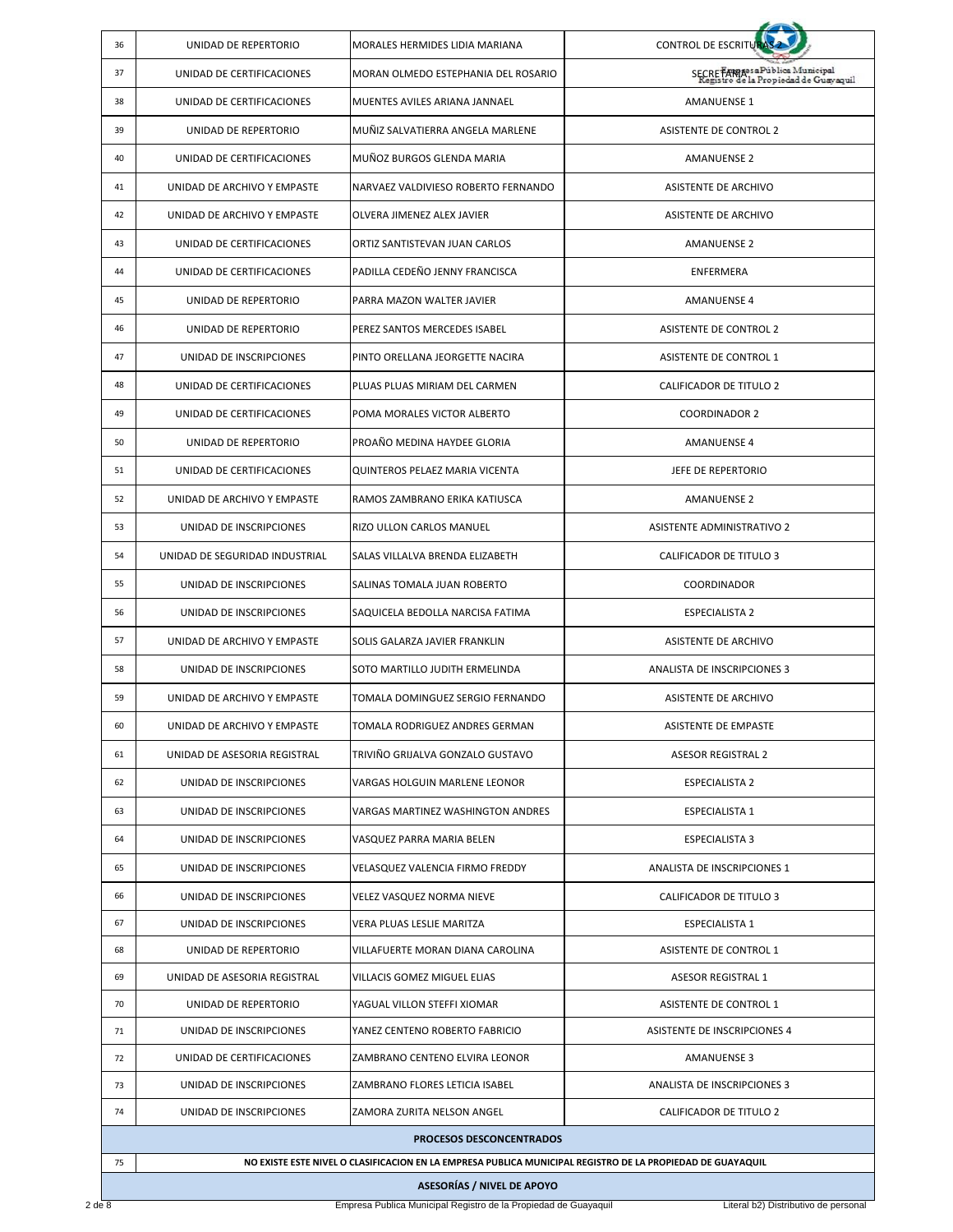| 36 | UNIDAD DE REPERTORIO           | MORALES HERMIDES LIDIA MARIANA                                                                             | <b>CONTROL DE ESCRIT</b>                                                 |
|----|--------------------------------|------------------------------------------------------------------------------------------------------------|--------------------------------------------------------------------------|
| 37 | UNIDAD DE CERTIFICACIONES      | MORAN OLMEDO ESTEPHANIA DEL ROSARIO                                                                        | SECRE Expresa Pública Municipal<br>Registro de la Propiedad de Guayaquil |
| 38 | UNIDAD DE CERTIFICACIONES      | MUENTES AVILES ARIANA JANNAEL                                                                              | <b>AMANUENSE 1</b>                                                       |
| 39 | UNIDAD DE REPERTORIO           | MUÑIZ SALVATIERRA ANGELA MARLENE                                                                           | <b>ASISTENTE DE CONTROL 2</b>                                            |
| 40 | UNIDAD DE CERTIFICACIONES      | MUÑOZ BURGOS GLENDA MARIA                                                                                  | <b>AMANUENSE 2</b>                                                       |
| 41 | UNIDAD DE ARCHIVO Y EMPASTE    | NARVAEZ VALDIVIESO ROBERTO FERNANDO                                                                        | ASISTENTE DE ARCHIVO                                                     |
| 42 | UNIDAD DE ARCHIVO Y EMPASTE    | OLVERA JIMENEZ ALEX JAVIER                                                                                 | ASISTENTE DE ARCHIVO                                                     |
| 43 | UNIDAD DE CERTIFICACIONES      | ORTIZ SANTISTEVAN JUAN CARLOS                                                                              | <b>AMANUENSE 2</b>                                                       |
| 44 | UNIDAD DE CERTIFICACIONES      | PADILLA CEDEÑO JENNY FRANCISCA                                                                             | ENFERMERA                                                                |
| 45 | UNIDAD DE REPERTORIO           | PARRA MAZON WALTER JAVIER                                                                                  | <b>AMANUENSE 4</b>                                                       |
| 46 | UNIDAD DE REPERTORIO           | PEREZ SANTOS MERCEDES ISABEL                                                                               | ASISTENTE DE CONTROL 2                                                   |
| 47 | UNIDAD DE INSCRIPCIONES        | PINTO ORELLANA JEORGETTE NACIRA                                                                            | ASISTENTE DE CONTROL 1                                                   |
| 48 | UNIDAD DE CERTIFICACIONES      | PLUAS PLUAS MIRIAM DEL CARMEN                                                                              | CALIFICADOR DE TITULO 2                                                  |
| 49 | UNIDAD DE CERTIFICACIONES      | POMA MORALES VICTOR ALBERTO                                                                                | <b>COORDINADOR 2</b>                                                     |
| 50 | UNIDAD DE REPERTORIO           | PROAÑO MEDINA HAYDEE GLORIA                                                                                | <b>AMANUENSE 4</b>                                                       |
| 51 | UNIDAD DE CERTIFICACIONES      | <b>QUINTEROS PELAEZ MARIA VICENTA</b>                                                                      | JEFE DE REPERTORIO                                                       |
| 52 | UNIDAD DE ARCHIVO Y EMPASTE    | RAMOS ZAMBRANO ERIKA KATIUSCA                                                                              | <b>AMANUENSE 2</b>                                                       |
| 53 | UNIDAD DE INSCRIPCIONES        | RIZO ULLON CARLOS MANUEL                                                                                   | ASISTENTE ADMINISTRATIVO 2                                               |
| 54 | UNIDAD DE SEGURIDAD INDUSTRIAL | SALAS VILLALVA BRENDA ELIZABETH                                                                            | CALIFICADOR DE TITULO 3                                                  |
| 55 | UNIDAD DE INSCRIPCIONES        | SALINAS TOMALA JUAN ROBERTO                                                                                | <b>COORDINADOR</b>                                                       |
| 56 | UNIDAD DE INSCRIPCIONES        | SAQUICELA BEDOLLA NARCISA FATIMA                                                                           | <b>ESPECIALISTA 2</b>                                                    |
| 57 | UNIDAD DE ARCHIVO Y EMPASTE    | SOLIS GALARZA JAVIER FRANKLIN                                                                              | <b>ASISTENTE DE ARCHIVO</b>                                              |
| 58 | UNIDAD DE INSCRIPCIONES        | SOTO MARTILLO JUDITH ERMELINDA                                                                             | <b>ANALISTA DE INSCRIPCIONES 3</b>                                       |
| 59 | UNIDAD DE ARCHIVO Y EMPASTE    | TOMALA DOMINGUEZ SERGIO FERNANDO                                                                           | <b>ASISTENTE DE ARCHIVO</b>                                              |
| 60 | UNIDAD DE ARCHIVO Y EMPASTE    | TOMALA RODRIGUEZ ANDRES GERMAN                                                                             | ASISTENTE DE EMPASTE                                                     |
| 61 | UNIDAD DE ASESORIA REGISTRAL   | TRIVIÑO GRIJALVA GONZALO GUSTAVO                                                                           | <b>ASESOR REGISTRAL 2</b>                                                |
| 62 | UNIDAD DE INSCRIPCIONES        | VARGAS HOLGUIN MARLENE LEONOR                                                                              | <b>ESPECIALISTA 2</b>                                                    |
| 63 | UNIDAD DE INSCRIPCIONES        | VARGAS MARTINEZ WASHINGTON ANDRES                                                                          | <b>ESPECIALISTA 1</b>                                                    |
| 64 | UNIDAD DE INSCRIPCIONES        | VASQUEZ PARRA MARIA BELEN                                                                                  | ESPECIALISTA 3                                                           |
| 65 | UNIDAD DE INSCRIPCIONES        | VELASQUEZ VALENCIA FIRMO FREDDY                                                                            | ANALISTA DE INSCRIPCIONES 1                                              |
| 66 | UNIDAD DE INSCRIPCIONES        | VELEZ VASQUEZ NORMA NIEVE                                                                                  | CALIFICADOR DE TITULO 3                                                  |
| 67 | UNIDAD DE INSCRIPCIONES        | VERA PLUAS LESLIE MARITZA                                                                                  | <b>ESPECIALISTA 1</b>                                                    |
| 68 | UNIDAD DE REPERTORIO           | VILLAFUERTE MORAN DIANA CAROLINA                                                                           | ASISTENTE DE CONTROL 1                                                   |
| 69 | UNIDAD DE ASESORIA REGISTRAL   | VILLACIS GOMEZ MIGUEL ELIAS                                                                                | ASESOR REGISTRAL 1                                                       |
| 70 | UNIDAD DE REPERTORIO           | YAGUAL VILLON STEFFI XIOMAR                                                                                | <b>ASISTENTE DE CONTROL 1</b>                                            |
| 71 | UNIDAD DE INSCRIPCIONES        | YANEZ CENTENO ROBERTO FABRICIO                                                                             | ASISTENTE DE INSCRIPCIONES 4                                             |
| 72 | UNIDAD DE CERTIFICACIONES      | ZAMBRANO CENTENO ELVIRA LEONOR                                                                             | <b>AMANUENSE 3</b>                                                       |
| 73 | UNIDAD DE INSCRIPCIONES        | ZAMBRANO FLORES LETICIA ISABEL                                                                             | ANALISTA DE INSCRIPCIONES 3                                              |
| 74 | UNIDAD DE INSCRIPCIONES        | ZAMORA ZURITA NELSON ANGEL                                                                                 | CALIFICADOR DE TITULO 2                                                  |
|    |                                | PROCESOS DESCONCENTRADOS                                                                                   |                                                                          |
| 75 |                                | NO EXISTE ESTE NIVEL O CLASIFICACION EN LA EMPRESA PUBLICA MUNICIPAL REGISTRO DE LA PROPIEDAD DE GUAYAQUIL |                                                                          |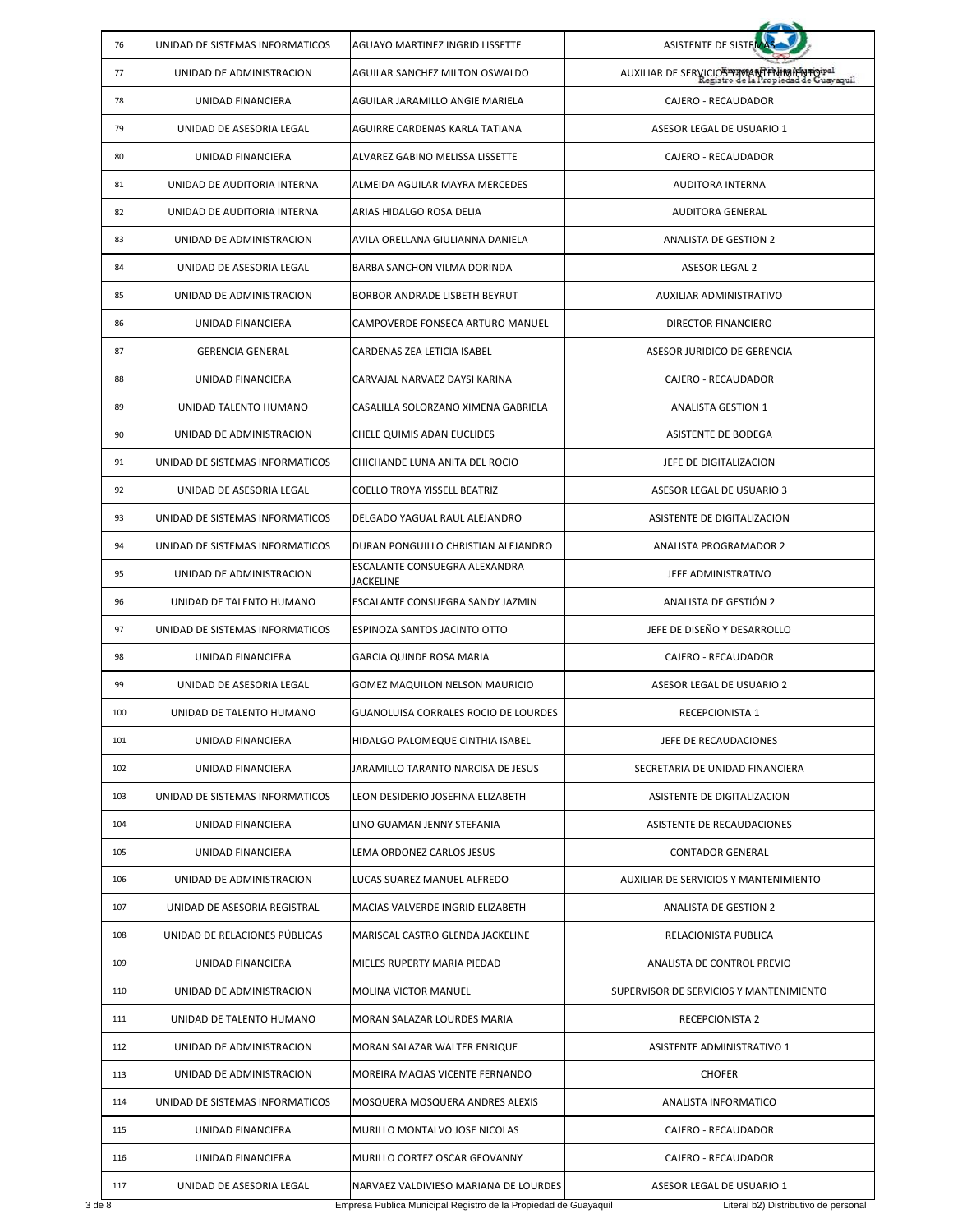| 76  | UNIDAD DE SISTEMAS INFORMATICOS | AGUAYO MARTINEZ INGRID LISSETTE            | <b>ASISTENTE DE SISTE</b>               |
|-----|---------------------------------|--------------------------------------------|-----------------------------------------|
| 77  | UNIDAD DE ADMINISTRACION        | AGUILAR SANCHEZ MILTON OSWALDO             | AUXILIAR DE SERVICIOS WANTENIMIPATOPal  |
| 78  | UNIDAD FINANCIERA               | AGUILAR JARAMILLO ANGIE MARIELA            | CAJERO - RECAUDADOR                     |
| 79  | UNIDAD DE ASESORIA LEGAL        | AGUIRRE CARDENAS KARLA TATIANA             | ASESOR LEGAL DE USUARIO 1               |
| 80  | UNIDAD FINANCIERA               | ALVAREZ GABINO MELISSA LISSETTE            | CAJERO - RECAUDADOR                     |
| 81  | UNIDAD DE AUDITORIA INTERNA     | ALMEIDA AGUILAR MAYRA MERCEDES             | <b>AUDITORA INTERNA</b>                 |
| 82  | UNIDAD DE AUDITORIA INTERNA     | ARIAS HIDALGO ROSA DELIA                   | AUDITORA GENERAL                        |
| 83  | UNIDAD DE ADMINISTRACION        | AVILA ORELLANA GIULIANNA DANIELA           | <b>ANALISTA DE GESTION 2</b>            |
| 84  | UNIDAD DE ASESORIA LEGAL        | BARBA SANCHON VILMA DORINDA                | ASESOR LEGAL 2                          |
| 85  | UNIDAD DE ADMINISTRACION        | BORBOR ANDRADE LISBETH BEYRUT              | AUXILIAR ADMINISTRATIVO                 |
| 86  | UNIDAD FINANCIERA               | CAMPOVERDE FONSECA ARTURO MANUEL           | DIRECTOR FINANCIERO                     |
| 87  | <b>GERENCIA GENERAL</b>         | CARDENAS ZEA LETICIA ISABEL                | ASESOR JURIDICO DE GERENCIA             |
| 88  | UNIDAD FINANCIERA               | CARVAJAL NARVAEZ DAYSI KARINA              | CAJERO - RECAUDADOR                     |
| 89  | UNIDAD TALENTO HUMANO           | CASALILLA SOLORZANO XIMENA GABRIELA        | <b>ANALISTA GESTION 1</b>               |
| 90  | UNIDAD DE ADMINISTRACION        | CHELE QUIMIS ADAN EUCLIDES                 | ASISTENTE DE BODEGA                     |
| 91  | UNIDAD DE SISTEMAS INFORMATICOS | CHICHANDE LUNA ANITA DEL ROCIO             | JEFE DE DIGITALIZACION                  |
| 92  | UNIDAD DE ASESORIA LEGAL        | COELLO TROYA YISSELL BEATRIZ               | ASESOR LEGAL DE USUARIO 3               |
| 93  | UNIDAD DE SISTEMAS INFORMATICOS | DELGADO YAGUAL RAUL ALEJANDRO              | ASISTENTE DE DIGITALIZACION             |
| 94  | UNIDAD DE SISTEMAS INFORMATICOS | DURAN PONGUILLO CHRISTIAN ALEJANDRO        | ANALISTA PROGRAMADOR 2                  |
| 95  | UNIDAD DE ADMINISTRACION        | ESCALANTE CONSUEGRA ALEXANDRA<br>JACKELINE | JEFE ADMINISTRATIVO                     |
| 96  | UNIDAD DE TALENTO HUMANO        | ESCALANTE CONSUEGRA SANDY JAZMIN           | ANALISTA DE GESTIÓN 2                   |
| 97  | UNIDAD DE SISTEMAS INFORMATICOS | ESPINOZA SANTOS JACINTO OTTO               | JEFE DE DISEÑO Y DESARROLLO             |
| 98  | UNIDAD FINANCIERA               | GARCIA QUINDE ROSA MARIA                   | CAJERO - RECAUDADOR                     |
| 99  | UNIDAD DE ASESORIA LEGAL        | GOMEZ MAQUILON NELSON MAURICIO             | ASESOR LEGAL DE USUARIO 2               |
| 100 | UNIDAD DE TALENTO HUMANO        | GUANOLUISA CORRALES ROCIO DE LOURDES       | RECEPCIONISTA 1                         |
| 101 | UNIDAD FINANCIERA               | HIDALGO PALOMEQUE CINTHIA ISABEL           | JEFE DE RECAUDACIONES                   |
| 102 | UNIDAD FINANCIERA               | JARAMILLO TARANTO NARCISA DE JESUS         | SECRETARIA DE UNIDAD FINANCIERA         |
| 103 | UNIDAD DE SISTEMAS INFORMATICOS | LEON DESIDERIO JOSEFINA ELIZABETH          | ASISTENTE DE DIGITALIZACION             |
| 104 | UNIDAD FINANCIERA               | LINO GUAMAN JENNY STEFANIA                 | ASISTENTE DE RECAUDACIONES              |
| 105 | UNIDAD FINANCIERA               | LEMA ORDONEZ CARLOS JESUS                  | <b>CONTADOR GENERAL</b>                 |
| 106 | UNIDAD DE ADMINISTRACION        | LUCAS SUAREZ MANUEL ALFREDO                | AUXILIAR DE SERVICIOS Y MANTENIMIENTO   |
| 107 | UNIDAD DE ASESORIA REGISTRAL    | MACIAS VALVERDE INGRID ELIZABETH           | ANALISTA DE GESTION 2                   |
| 108 | UNIDAD DE RELACIONES PÚBLICAS   | MARISCAL CASTRO GLENDA JACKELINE           | RELACIONISTA PUBLICA                    |
| 109 | UNIDAD FINANCIERA               | MIELES RUPERTY MARIA PIEDAD                | ANALISTA DE CONTROL PREVIO              |
| 110 | UNIDAD DE ADMINISTRACION        | MOLINA VICTOR MANUEL                       | SUPERVISOR DE SERVICIOS Y MANTENIMIENTO |
| 111 | UNIDAD DE TALENTO HUMANO        | MORAN SALAZAR LOURDES MARIA                | <b>RECEPCIONISTA 2</b>                  |
| 112 | UNIDAD DE ADMINISTRACION        | MORAN SALAZAR WALTER ENRIQUE               | ASISTENTE ADMINISTRATIVO 1              |
| 113 | UNIDAD DE ADMINISTRACION        | MOREIRA MACIAS VICENTE FERNANDO            | <b>CHOFER</b>                           |
| 114 | UNIDAD DE SISTEMAS INFORMATICOS | MOSQUERA MOSQUERA ANDRES ALEXIS            | ANALISTA INFORMATICO                    |
| 115 | UNIDAD FINANCIERA               | MURILLO MONTALVO JOSE NICOLAS              | CAJERO - RECAUDADOR                     |
| 116 | UNIDAD FINANCIERA               | MURILLO CORTEZ OSCAR GEOVANNY              | CAJERO - RECAUDADOR                     |
|     |                                 |                                            |                                         |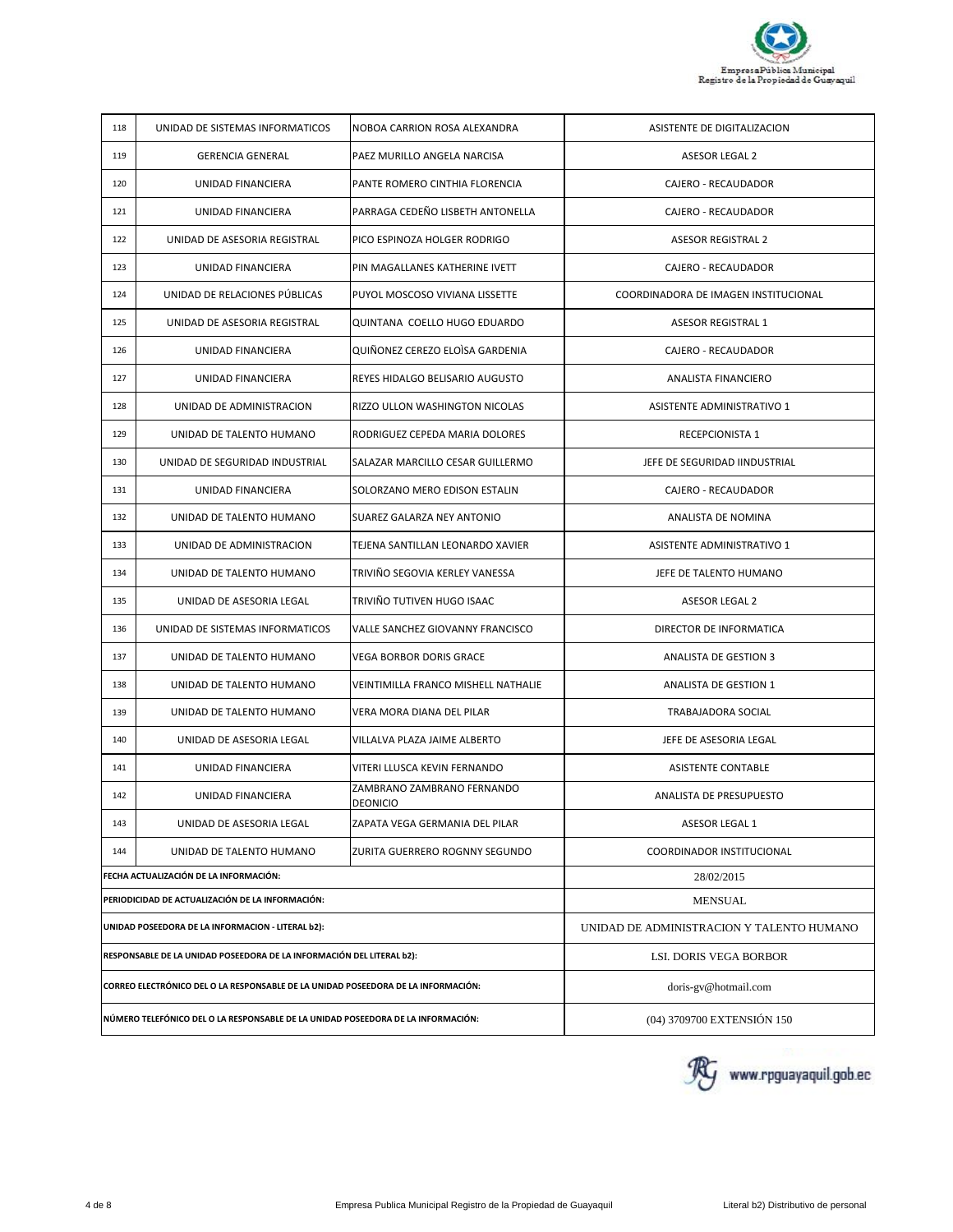

| 118                                                                               | UNIDAD DE SISTEMAS INFORMATICOS | NOBOA CARRION ROSA ALEXANDRA                  | ASISTENTE DE DIGITALIZACION          |
|-----------------------------------------------------------------------------------|---------------------------------|-----------------------------------------------|--------------------------------------|
| 119                                                                               | <b>GERENCIA GENERAL</b>         | PAEZ MURILLO ANGELA NARCISA                   | <b>ASESOR LEGAL 2</b>                |
| 120                                                                               | UNIDAD FINANCIERA               | PANTE ROMERO CINTHIA FLORENCIA                | CAJERO - RECAUDADOR                  |
| 121                                                                               | UNIDAD FINANCIERA               | PARRAGA CEDEÑO LISBETH ANTONELLA              | CAJERO - RECAUDADOR                  |
| 122                                                                               | UNIDAD DE ASESORIA REGISTRAL    | PICO ESPINOZA HOLGER RODRIGO                  | <b>ASESOR REGISTRAL 2</b>            |
| 123                                                                               | UNIDAD FINANCIERA               | PIN MAGALLANES KATHERINE IVETT                | CAJERO - RECAUDADOR                  |
| 124                                                                               | UNIDAD DE RELACIONES PÚBLICAS   | PUYOL MOSCOSO VIVIANA LISSETTE                | COORDINADORA DE IMAGEN INSTITUCIONAL |
| 125                                                                               | UNIDAD DE ASESORIA REGISTRAL    | QUINTANA COELLO HUGO EDUARDO                  | <b>ASESOR REGISTRAL 1</b>            |
| 126                                                                               | UNIDAD FINANCIERA               | QUIÑONEZ CEREZO ELOÍSA GARDENIA               | CAJERO - RECAUDADOR                  |
| 127                                                                               | UNIDAD FINANCIERA               | REYES HIDALGO BELISARIO AUGUSTO               | ANALISTA FINANCIERO                  |
| 128                                                                               | UNIDAD DE ADMINISTRACION        | RIZZO ULLON WASHINGTON NICOLAS                | ASISTENTE ADMINISTRATIVO 1           |
| 129                                                                               | UNIDAD DE TALENTO HUMANO        | RODRIGUEZ CEPEDA MARIA DOLORES                | <b>RECEPCIONISTA 1</b>               |
| 130                                                                               | UNIDAD DE SEGURIDAD INDUSTRIAL  | SALAZAR MARCILLO CESAR GUILLERMO              | JEFE DE SEGURIDAD IINDUSTRIAL        |
| 131                                                                               | UNIDAD FINANCIERA               | SOLORZANO MERO EDISON ESTALIN                 | CAJERO - RECAUDADOR                  |
| 132                                                                               | UNIDAD DE TALENTO HUMANO        | SUAREZ GALARZA NEY ANTONIO                    | ANALISTA DE NOMINA                   |
| 133                                                                               | UNIDAD DE ADMINISTRACION        | TEJENA SANTILLAN LEONARDO XAVIER              | ASISTENTE ADMINISTRATIVO 1           |
| 134                                                                               | UNIDAD DE TALENTO HUMANO        | TRIVIÑO SEGOVIA KERLEY VANESSA                | JEFE DE TALENTO HUMANO               |
| 135                                                                               | UNIDAD DE ASESORIA LEGAL        | TRIVIÑO TUTIVEN HUGO ISAAC                    | <b>ASESOR LEGAL 2</b>                |
| 136                                                                               | UNIDAD DE SISTEMAS INFORMATICOS | VALLE SANCHEZ GIOVANNY FRANCISCO              | DIRECTOR DE INFORMATICA              |
| 137                                                                               | UNIDAD DE TALENTO HUMANO        | <b>VEGA BORBOR DORIS GRACE</b>                | ANALISTA DE GESTION 3                |
| 138                                                                               | UNIDAD DE TALENTO HUMANO        | VEINTIMILLA FRANCO MISHELL NATHALIE           | ANALISTA DE GESTION 1                |
| 139                                                                               | UNIDAD DE TALENTO HUMANO        | VERA MORA DIANA DEL PILAR                     | <b>TRABAJADORA SOCIAL</b>            |
| 140                                                                               | UNIDAD DE ASESORIA LEGAL        | VILLALVA PLAZA JAIME ALBERTO                  | JEFE DE ASESORIA LEGAL               |
| 141                                                                               | UNIDAD FINANCIERA               | VITERI LLUSCA KEVIN FERNANDO                  | <b>ASISTENTE CONTABLE</b>            |
| 142                                                                               | UNIDAD FINANCIERA               | ZAMBRANO ZAMBRANO FERNANDO<br><b>DEONICIO</b> | ANALISTA DE PRESUPUESTO              |
| 143                                                                               | UNIDAD DE ASESORIA LEGAL        | ZAPATA VEGA GERMANIA DEL PILAR                | ASESOR LEGAL 1                       |
| 144                                                                               | UNIDAD DE TALENTO HUMANO        | ZURITA GUERRERO ROGNNY SEGUNDO                | COORDINADOR INSTITUCIONAL            |
| FECHA ACTUALIZACIÓN DE LA INFORMACIÓN:                                            |                                 |                                               | 28/02/2015                           |
| PERIODICIDAD DE ACTUALIZACIÓN DE LA INFORMACIÓN:                                  |                                 | <b>MENSUAL</b>                                |                                      |
| UNIDAD POSEEDORA DE LA INFORMACION - LITERAL b2):                                 |                                 | UNIDAD DE ADMINISTRACION Y TALENTO HUMANO     |                                      |
| RESPONSABLE DE LA UNIDAD POSEEDORA DE LA INFORMACIÓN DEL LITERAL b2):             |                                 | <b>LSI. DORIS VEGA BORBOR</b>                 |                                      |
| CORREO ELECTRÓNICO DEL O LA RESPONSABLE DE LA UNIDAD POSEEDORA DE LA INFORMACIÓN: |                                 | doris-gv@hotmail.com                          |                                      |
| NÚMERO TELEFÓNICO DEL O LA RESPONSABLE DE LA UNIDAD POSEEDORA DE LA INFORMACIÓN:  |                                 | (04) 3709700 EXTENSIÓN 150                    |                                      |

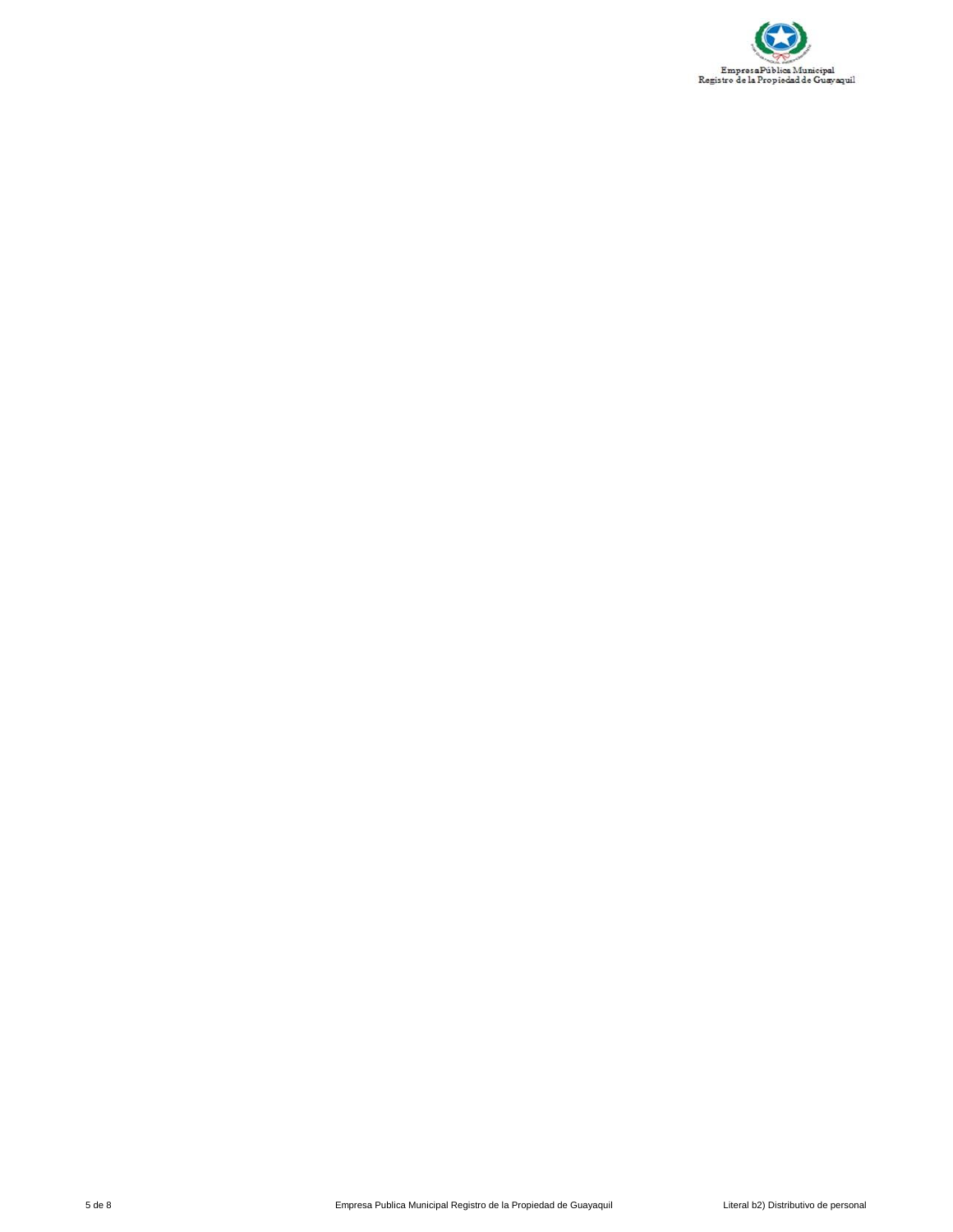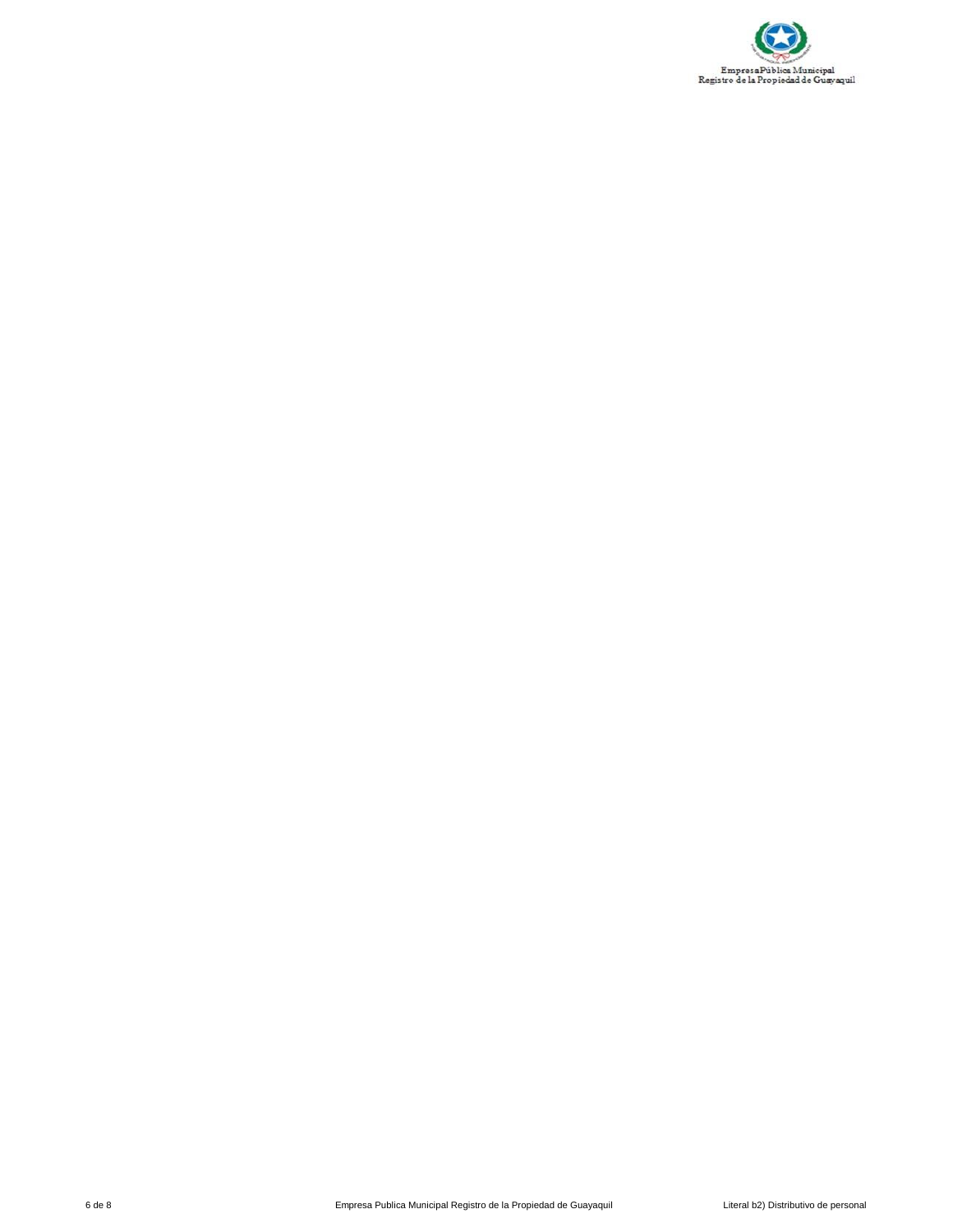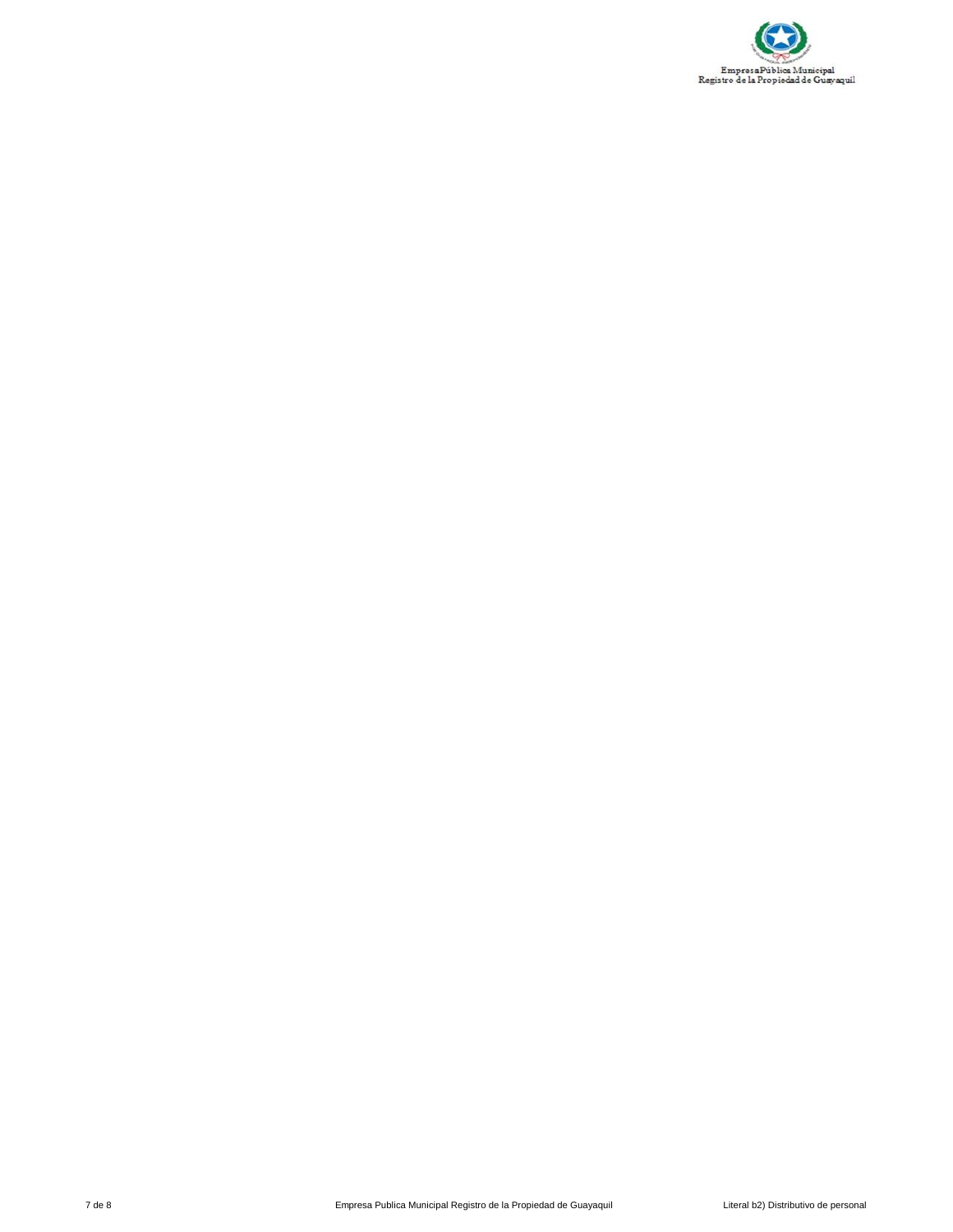